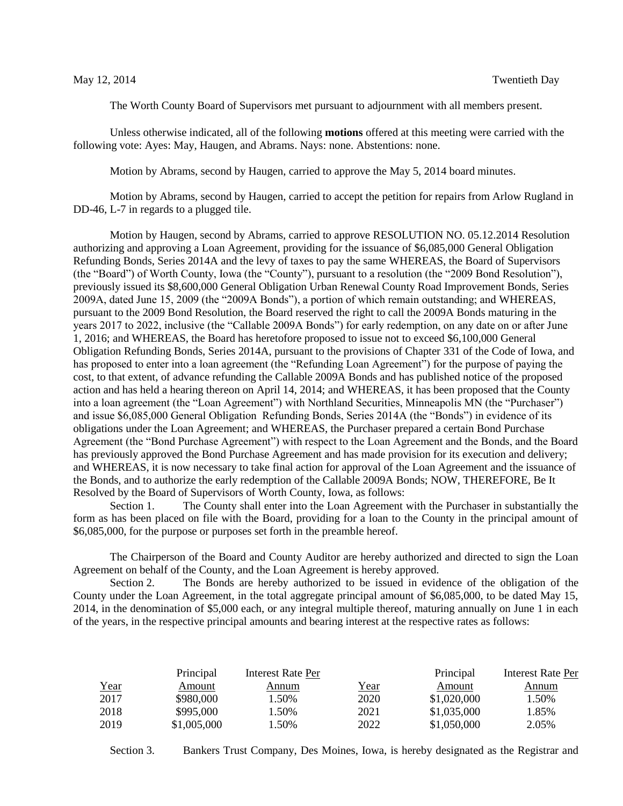The Worth County Board of Supervisors met pursuant to adjournment with all members present.

Unless otherwise indicated, all of the following **motions** offered at this meeting were carried with the following vote: Ayes: May, Haugen, and Abrams. Nays: none. Abstentions: none.

Motion by Abrams, second by Haugen, carried to approve the May 5, 2014 board minutes.

Motion by Abrams, second by Haugen, carried to accept the petition for repairs from Arlow Rugland in DD-46, L-7 in regards to a plugged tile.

Motion by Haugen, second by Abrams, carried to approve RESOLUTION NO. 05.12.2014 Resolution authorizing and approving a Loan Agreement, providing for the issuance of \$6,085,000 General Obligation Refunding Bonds, Series 2014A and the levy of taxes to pay the same WHEREAS, the Board of Supervisors (the "Board") of Worth County, Iowa (the "County"), pursuant to a resolution (the "2009 Bond Resolution"), previously issued its \$8,600,000 General Obligation Urban Renewal County Road Improvement Bonds, Series 2009A, dated June 15, 2009 (the "2009A Bonds"), a portion of which remain outstanding; and WHEREAS, pursuant to the 2009 Bond Resolution, the Board reserved the right to call the 2009A Bonds maturing in the years 2017 to 2022, inclusive (the "Callable 2009A Bonds") for early redemption, on any date on or after June 1, 2016; and WHEREAS, the Board has heretofore proposed to issue not to exceed \$6,100,000 General Obligation Refunding Bonds, Series 2014A, pursuant to the provisions of Chapter 331 of the Code of Iowa, and has proposed to enter into a loan agreement (the "Refunding Loan Agreement") for the purpose of paying the cost, to that extent, of advance refunding the Callable 2009A Bonds and has published notice of the proposed action and has held a hearing thereon on April 14, 2014; and WHEREAS, it has been proposed that the County into a loan agreement (the "Loan Agreement") with Northland Securities, Minneapolis MN (the "Purchaser") and issue \$6,085,000 General Obligation Refunding Bonds, Series 2014A (the "Bonds") in evidence of its obligations under the Loan Agreement; and WHEREAS, the Purchaser prepared a certain Bond Purchase Agreement (the "Bond Purchase Agreement") with respect to the Loan Agreement and the Bonds, and the Board has previously approved the Bond Purchase Agreement and has made provision for its execution and delivery; and WHEREAS, it is now necessary to take final action for approval of the Loan Agreement and the issuance of the Bonds, and to authorize the early redemption of the Callable 2009A Bonds; NOW, THEREFORE, Be It Resolved by the Board of Supervisors of Worth County, Iowa, as follows:

Section 1. The County shall enter into the Loan Agreement with the Purchaser in substantially the form as has been placed on file with the Board, providing for a loan to the County in the principal amount of \$6,085,000, for the purpose or purposes set forth in the preamble hereof.

The Chairperson of the Board and County Auditor are hereby authorized and directed to sign the Loan Agreement on behalf of the County, and the Loan Agreement is hereby approved.

Section 2. The Bonds are hereby authorized to be issued in evidence of the obligation of the County under the Loan Agreement, in the total aggregate principal amount of \$6,085,000, to be dated May 15, 2014, in the denomination of \$5,000 each, or any integral multiple thereof, maturing annually on June 1 in each of the years, in the respective principal amounts and bearing interest at the respective rates as follows:

|      | Principal   | Interest Rate Per |             | Principal   | Interest Rate Per |
|------|-------------|-------------------|-------------|-------------|-------------------|
| Year | Amount      | Annum             | <u>Year</u> | Amount      | Annum             |
| 2017 | \$980,000   | 1.50%             | 2020        | \$1,020,000 | 1.50%             |
| 2018 | \$995,000   | 1.50%             | 2021        | \$1,035,000 | 1.85%             |
| 2019 | \$1,005,000 | 1.50%             | 2022        | \$1,050,000 | 2.05%             |

Section 3. Bankers Trust Company, Des Moines, Iowa, is hereby designated as the Registrar and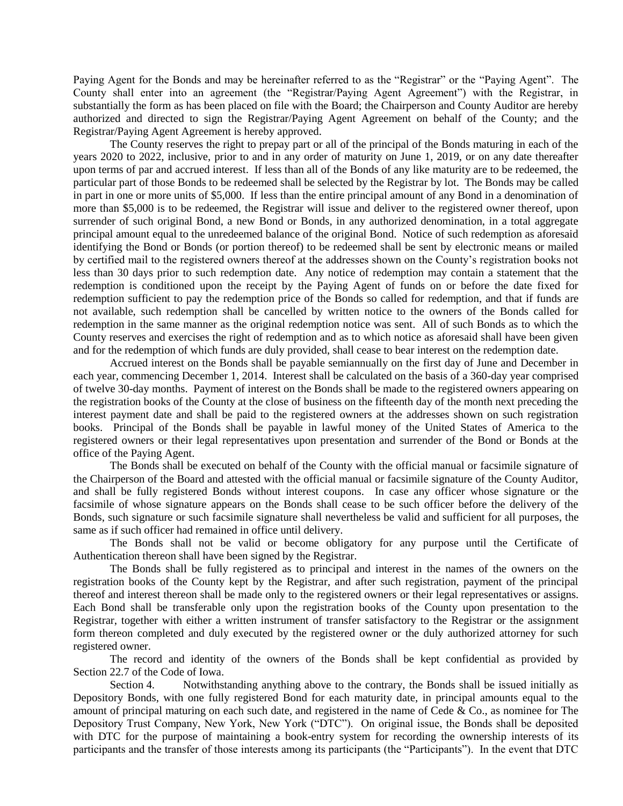Paying Agent for the Bonds and may be hereinafter referred to as the "Registrar" or the "Paying Agent". The County shall enter into an agreement (the "Registrar/Paying Agent Agreement") with the Registrar, in substantially the form as has been placed on file with the Board; the Chairperson and County Auditor are hereby authorized and directed to sign the Registrar/Paying Agent Agreement on behalf of the County; and the Registrar/Paying Agent Agreement is hereby approved.

The County reserves the right to prepay part or all of the principal of the Bonds maturing in each of the years 2020 to 2022, inclusive, prior to and in any order of maturity on June 1, 2019, or on any date thereafter upon terms of par and accrued interest. If less than all of the Bonds of any like maturity are to be redeemed, the particular part of those Bonds to be redeemed shall be selected by the Registrar by lot. The Bonds may be called in part in one or more units of \$5,000. If less than the entire principal amount of any Bond in a denomination of more than \$5,000 is to be redeemed, the Registrar will issue and deliver to the registered owner thereof, upon surrender of such original Bond, a new Bond or Bonds, in any authorized denomination, in a total aggregate principal amount equal to the unredeemed balance of the original Bond. Notice of such redemption as aforesaid identifying the Bond or Bonds (or portion thereof) to be redeemed shall be sent by electronic means or mailed by certified mail to the registered owners thereof at the addresses shown on the County's registration books not less than 30 days prior to such redemption date. Any notice of redemption may contain a statement that the redemption is conditioned upon the receipt by the Paying Agent of funds on or before the date fixed for redemption sufficient to pay the redemption price of the Bonds so called for redemption, and that if funds are not available, such redemption shall be cancelled by written notice to the owners of the Bonds called for redemption in the same manner as the original redemption notice was sent. All of such Bonds as to which the County reserves and exercises the right of redemption and as to which notice as aforesaid shall have been given and for the redemption of which funds are duly provided, shall cease to bear interest on the redemption date.

Accrued interest on the Bonds shall be payable semiannually on the first day of June and December in each year, commencing December 1, 2014. Interest shall be calculated on the basis of a 360-day year comprised of twelve 30-day months. Payment of interest on the Bonds shall be made to the registered owners appearing on the registration books of the County at the close of business on the fifteenth day of the month next preceding the interest payment date and shall be paid to the registered owners at the addresses shown on such registration books. Principal of the Bonds shall be payable in lawful money of the United States of America to the registered owners or their legal representatives upon presentation and surrender of the Bond or Bonds at the office of the Paying Agent.

The Bonds shall be executed on behalf of the County with the official manual or facsimile signature of the Chairperson of the Board and attested with the official manual or facsimile signature of the County Auditor, and shall be fully registered Bonds without interest coupons. In case any officer whose signature or the facsimile of whose signature appears on the Bonds shall cease to be such officer before the delivery of the Bonds, such signature or such facsimile signature shall nevertheless be valid and sufficient for all purposes, the same as if such officer had remained in office until delivery.

The Bonds shall not be valid or become obligatory for any purpose until the Certificate of Authentication thereon shall have been signed by the Registrar.

The Bonds shall be fully registered as to principal and interest in the names of the owners on the registration books of the County kept by the Registrar, and after such registration, payment of the principal thereof and interest thereon shall be made only to the registered owners or their legal representatives or assigns. Each Bond shall be transferable only upon the registration books of the County upon presentation to the Registrar, together with either a written instrument of transfer satisfactory to the Registrar or the assignment form thereon completed and duly executed by the registered owner or the duly authorized attorney for such registered owner.

The record and identity of the owners of the Bonds shall be kept confidential as provided by Section 22.7 of the Code of Iowa.

Section 4. Notwithstanding anything above to the contrary, the Bonds shall be issued initially as Depository Bonds, with one fully registered Bond for each maturity date, in principal amounts equal to the amount of principal maturing on each such date, and registered in the name of Cede & Co., as nominee for The Depository Trust Company, New York, New York ("DTC"). On original issue, the Bonds shall be deposited with DTC for the purpose of maintaining a book-entry system for recording the ownership interests of its participants and the transfer of those interests among its participants (the "Participants"). In the event that DTC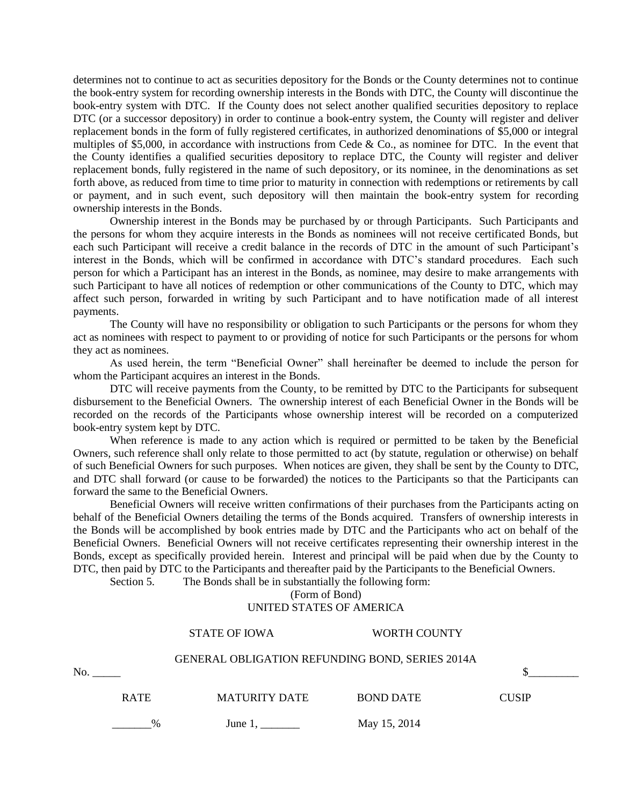determines not to continue to act as securities depository for the Bonds or the County determines not to continue the book-entry system for recording ownership interests in the Bonds with DTC, the County will discontinue the book-entry system with DTC. If the County does not select another qualified securities depository to replace DTC (or a successor depository) in order to continue a book-entry system, the County will register and deliver replacement bonds in the form of fully registered certificates, in authorized denominations of \$5,000 or integral multiples of \$5,000, in accordance with instructions from Cede & Co., as nominee for DTC. In the event that the County identifies a qualified securities depository to replace DTC, the County will register and deliver replacement bonds, fully registered in the name of such depository, or its nominee, in the denominations as set forth above, as reduced from time to time prior to maturity in connection with redemptions or retirements by call or payment, and in such event, such depository will then maintain the book-entry system for recording ownership interests in the Bonds.

Ownership interest in the Bonds may be purchased by or through Participants. Such Participants and the persons for whom they acquire interests in the Bonds as nominees will not receive certificated Bonds, but each such Participant will receive a credit balance in the records of DTC in the amount of such Participant's interest in the Bonds, which will be confirmed in accordance with DTC's standard procedures. Each such person for which a Participant has an interest in the Bonds, as nominee, may desire to make arrangements with such Participant to have all notices of redemption or other communications of the County to DTC, which may affect such person, forwarded in writing by such Participant and to have notification made of all interest payments.

The County will have no responsibility or obligation to such Participants or the persons for whom they act as nominees with respect to payment to or providing of notice for such Participants or the persons for whom they act as nominees.

As used herein, the term "Beneficial Owner" shall hereinafter be deemed to include the person for whom the Participant acquires an interest in the Bonds.

DTC will receive payments from the County, to be remitted by DTC to the Participants for subsequent disbursement to the Beneficial Owners. The ownership interest of each Beneficial Owner in the Bonds will be recorded on the records of the Participants whose ownership interest will be recorded on a computerized book-entry system kept by DTC.

When reference is made to any action which is required or permitted to be taken by the Beneficial Owners, such reference shall only relate to those permitted to act (by statute, regulation or otherwise) on behalf of such Beneficial Owners for such purposes. When notices are given, they shall be sent by the County to DTC, and DTC shall forward (or cause to be forwarded) the notices to the Participants so that the Participants can forward the same to the Beneficial Owners.

Beneficial Owners will receive written confirmations of their purchases from the Participants acting on behalf of the Beneficial Owners detailing the terms of the Bonds acquired. Transfers of ownership interests in the Bonds will be accomplished by book entries made by DTC and the Participants who act on behalf of the Beneficial Owners. Beneficial Owners will not receive certificates representing their ownership interest in the Bonds, except as specifically provided herein. Interest and principal will be paid when due by the County to DTC, then paid by DTC to the Participants and thereafter paid by the Participants to the Beneficial Owners.

Section 5. The Bonds shall be in substantially the following form:

(Form of Bond) UNITED STATES OF AMERICA

|     |                                                        | <b>STATE OF IOWA</b> | <b>WORTH COUNTY</b> |              |  |
|-----|--------------------------------------------------------|----------------------|---------------------|--------------|--|
|     | <b>GENERAL OBLIGATION REFUNDING BOND, SERIES 2014A</b> |                      |                     |              |  |
| No. |                                                        |                      |                     |              |  |
|     | <b>RATE</b>                                            | <b>MATURITY DATE</b> | <b>BOND DATE</b>    | <b>CUSIP</b> |  |
|     | %                                                      | June 1.              | May 15, 2014        |              |  |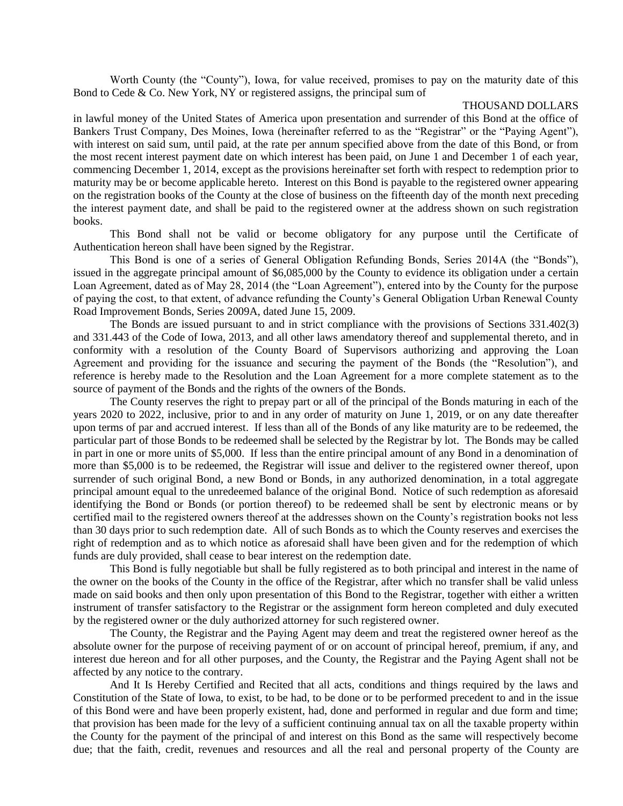Worth County (the "County"), Iowa, for value received, promises to pay on the maturity date of this Bond to Cede & Co. New York, NY or registered assigns, the principal sum of

## THOUSAND DOLLARS

in lawful money of the United States of America upon presentation and surrender of this Bond at the office of Bankers Trust Company, Des Moines, Iowa (hereinafter referred to as the "Registrar" or the "Paying Agent"), with interest on said sum, until paid, at the rate per annum specified above from the date of this Bond, or from the most recent interest payment date on which interest has been paid, on June 1 and December 1 of each year, commencing December 1, 2014, except as the provisions hereinafter set forth with respect to redemption prior to maturity may be or become applicable hereto. Interest on this Bond is payable to the registered owner appearing on the registration books of the County at the close of business on the fifteenth day of the month next preceding the interest payment date, and shall be paid to the registered owner at the address shown on such registration books.

This Bond shall not be valid or become obligatory for any purpose until the Certificate of Authentication hereon shall have been signed by the Registrar.

This Bond is one of a series of General Obligation Refunding Bonds, Series 2014A (the "Bonds"), issued in the aggregate principal amount of \$6,085,000 by the County to evidence its obligation under a certain Loan Agreement, dated as of May 28, 2014 (the "Loan Agreement"), entered into by the County for the purpose of paying the cost, to that extent, of advance refunding the County's General Obligation Urban Renewal County Road Improvement Bonds, Series 2009A, dated June 15, 2009.

The Bonds are issued pursuant to and in strict compliance with the provisions of Sections 331.402(3) and 331.443 of the Code of Iowa, 2013, and all other laws amendatory thereof and supplemental thereto, and in conformity with a resolution of the County Board of Supervisors authorizing and approving the Loan Agreement and providing for the issuance and securing the payment of the Bonds (the "Resolution"), and reference is hereby made to the Resolution and the Loan Agreement for a more complete statement as to the source of payment of the Bonds and the rights of the owners of the Bonds.

The County reserves the right to prepay part or all of the principal of the Bonds maturing in each of the years 2020 to 2022, inclusive, prior to and in any order of maturity on June 1, 2019, or on any date thereafter upon terms of par and accrued interest. If less than all of the Bonds of any like maturity are to be redeemed, the particular part of those Bonds to be redeemed shall be selected by the Registrar by lot. The Bonds may be called in part in one or more units of \$5,000. If less than the entire principal amount of any Bond in a denomination of more than \$5,000 is to be redeemed, the Registrar will issue and deliver to the registered owner thereof, upon surrender of such original Bond, a new Bond or Bonds, in any authorized denomination, in a total aggregate principal amount equal to the unredeemed balance of the original Bond. Notice of such redemption as aforesaid identifying the Bond or Bonds (or portion thereof) to be redeemed shall be sent by electronic means or by certified mail to the registered owners thereof at the addresses shown on the County's registration books not less than 30 days prior to such redemption date. All of such Bonds as to which the County reserves and exercises the right of redemption and as to which notice as aforesaid shall have been given and for the redemption of which funds are duly provided, shall cease to bear interest on the redemption date.

This Bond is fully negotiable but shall be fully registered as to both principal and interest in the name of the owner on the books of the County in the office of the Registrar, after which no transfer shall be valid unless made on said books and then only upon presentation of this Bond to the Registrar, together with either a written instrument of transfer satisfactory to the Registrar or the assignment form hereon completed and duly executed by the registered owner or the duly authorized attorney for such registered owner.

The County, the Registrar and the Paying Agent may deem and treat the registered owner hereof as the absolute owner for the purpose of receiving payment of or on account of principal hereof, premium, if any, and interest due hereon and for all other purposes, and the County, the Registrar and the Paying Agent shall not be affected by any notice to the contrary.

And It Is Hereby Certified and Recited that all acts, conditions and things required by the laws and Constitution of the State of Iowa, to exist, to be had, to be done or to be performed precedent to and in the issue of this Bond were and have been properly existent, had, done and performed in regular and due form and time; that provision has been made for the levy of a sufficient continuing annual tax on all the taxable property within the County for the payment of the principal of and interest on this Bond as the same will respectively become due; that the faith, credit, revenues and resources and all the real and personal property of the County are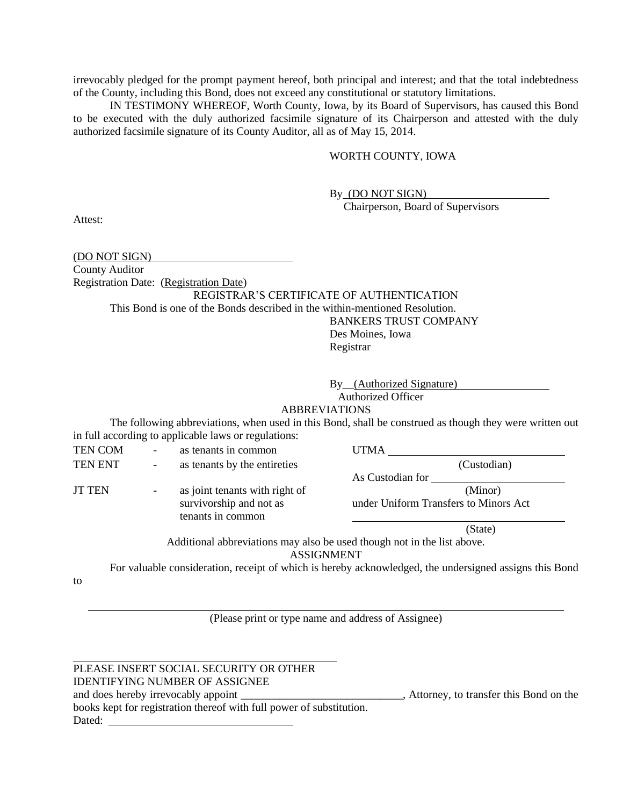irrevocably pledged for the prompt payment hereof, both principal and interest; and that the total indebtedness of the County, including this Bond, does not exceed any constitutional or statutory limitations.

IN TESTIMONY WHEREOF, Worth County, Iowa, by its Board of Supervisors, has caused this Bond to be executed with the duly authorized facsimile signature of its Chairperson and attested with the duly authorized facsimile signature of its County Auditor, all as of May 15, 2014.

## WORTH COUNTY, IOWA

By (DO NOT SIGN)

Chairperson, Board of Supervisors

Attest:

(DO NOT SIGN) County Auditor Registration Date: (Registration Date) REGISTRAR'S CERTIFICATE OF AUTHENTICATION This Bond is one of the Bonds described in the within-mentioned Resolution. BANKERS TRUST COMPANY

Des Moines, Iowa Registrar

By\_\_(Authorized Signature)

Authorized Officer

## ABBREVIATIONS

The following abbreviations, when used in this Bond, shall be construed as though they were written out in full according to applicable laws or regulations:

TEN COM - as tenants in common UTMA

to

TEN ENT - as tenants by the entireties (Custodian) JT TEN - as joint tenants with right of (Minor)

tenants in common

As Custodian for

survivorship and not as under Uniform Transfers to Minors Act

(State)

Additional abbreviations may also be used though not in the list above. ASSIGNMENT

For valuable consideration, receipt of which is hereby acknowledged, the undersigned assigns this Bond

(Please print or type name and address of Assignee)

## PLEASE INSERT SOCIAL SECURITY OR OTHER IDENTIFYING NUMBER OF ASSIGNEE and does hereby irrevocably appoint \_\_\_\_\_\_\_\_\_\_\_\_\_\_\_\_\_\_\_\_\_\_\_, Attorney, to transfer this Bond on the books kept for registration thereof with full power of substitution. Dated: University of the University of the University of the University of the University of the University of the University of the University of the University of the University of the University of the University of the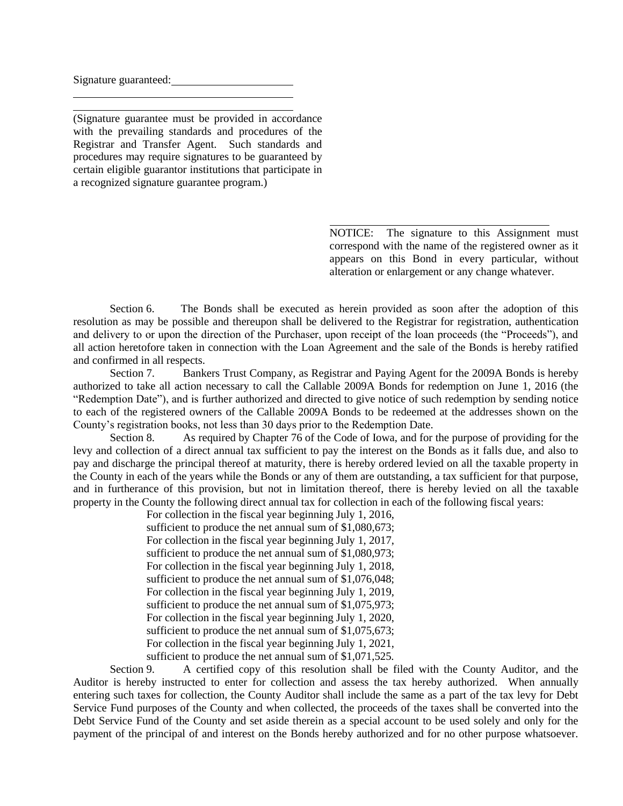Signature guaranteed:

(Signature guarantee must be provided in accordance with the prevailing standards and procedures of the Registrar and Transfer Agent. Such standards and procedures may require signatures to be guaranteed by certain eligible guarantor institutions that participate in a recognized signature guarantee program.)

> NOTICE: The signature to this Assignment must correspond with the name of the registered owner as it appears on this Bond in every particular, without alteration or enlargement or any change whatever.

 Section 6. The Bonds shall be executed as herein provided as soon after the adoption of this resolution as may be possible and thereupon shall be delivered to the Registrar for registration, authentication and delivery to or upon the direction of the Purchaser, upon receipt of the loan proceeds (the "Proceeds"), and all action heretofore taken in connection with the Loan Agreement and the sale of the Bonds is hereby ratified and confirmed in all respects.

Section 7. Bankers Trust Company, as Registrar and Paying Agent for the 2009A Bonds is hereby authorized to take all action necessary to call the Callable 2009A Bonds for redemption on June 1, 2016 (the "Redemption Date"), and is further authorized and directed to give notice of such redemption by sending notice to each of the registered owners of the Callable 2009A Bonds to be redeemed at the addresses shown on the County's registration books, not less than 30 days prior to the Redemption Date.<br>Section 8. As required by Chapter 76 of the Code of Iowa, and for

As required by Chapter 76 of the Code of Iowa, and for the purpose of providing for the levy and collection of a direct annual tax sufficient to pay the interest on the Bonds as it falls due, and also to pay and discharge the principal thereof at maturity, there is hereby ordered levied on all the taxable property in the County in each of the years while the Bonds or any of them are outstanding, a tax sufficient for that purpose, and in furtherance of this provision, but not in limitation thereof, there is hereby levied on all the taxable property in the County the following direct annual tax for collection in each of the following fiscal years:

For collection in the fiscal year beginning July 1, 2016, sufficient to produce the net annual sum of \$1,080,673; For collection in the fiscal year beginning July 1, 2017, sufficient to produce the net annual sum of \$1,080,973; For collection in the fiscal year beginning July 1, 2018, sufficient to produce the net annual sum of \$1,076,048; For collection in the fiscal year beginning July 1, 2019, sufficient to produce the net annual sum of \$1,075,973; For collection in the fiscal year beginning July 1, 2020, sufficient to produce the net annual sum of \$1,075,673; For collection in the fiscal year beginning July 1, 2021, sufficient to produce the net annual sum of \$1,071,525.

Section 9. A certified copy of this resolution shall be filed with the County Auditor, and the Auditor is hereby instructed to enter for collection and assess the tax hereby authorized. When annually entering such taxes for collection, the County Auditor shall include the same as a part of the tax levy for Debt Service Fund purposes of the County and when collected, the proceeds of the taxes shall be converted into the Debt Service Fund of the County and set aside therein as a special account to be used solely and only for the payment of the principal of and interest on the Bonds hereby authorized and for no other purpose whatsoever.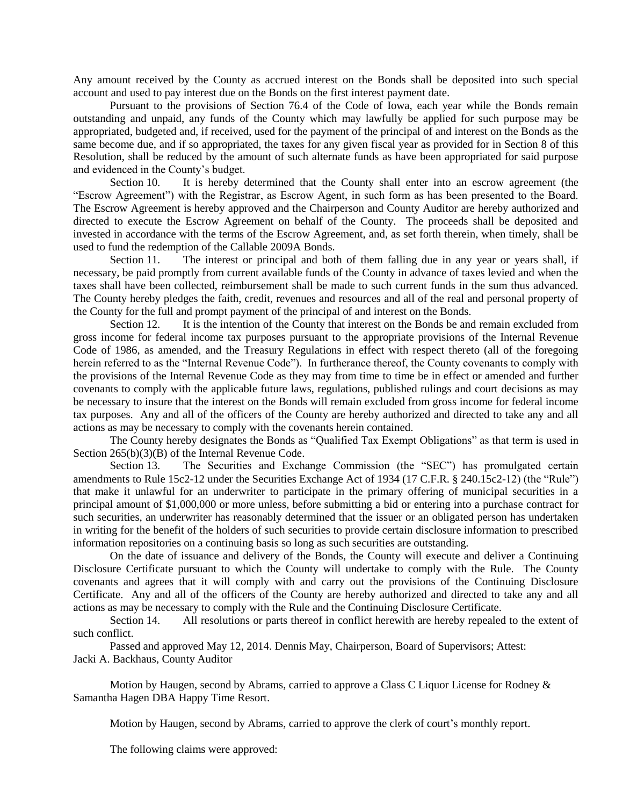Any amount received by the County as accrued interest on the Bonds shall be deposited into such special account and used to pay interest due on the Bonds on the first interest payment date.

Pursuant to the provisions of Section 76.4 of the Code of Iowa, each year while the Bonds remain outstanding and unpaid, any funds of the County which may lawfully be applied for such purpose may be appropriated, budgeted and, if received, used for the payment of the principal of and interest on the Bonds as the same become due, and if so appropriated, the taxes for any given fiscal year as provided for in Section 8 of this Resolution, shall be reduced by the amount of such alternate funds as have been appropriated for said purpose and evidenced in the County's budget.

Section 10. It is hereby determined that the County shall enter into an escrow agreement (the "Escrow Agreement") with the Registrar, as Escrow Agent, in such form as has been presented to the Board. The Escrow Agreement is hereby approved and the Chairperson and County Auditor are hereby authorized and directed to execute the Escrow Agreement on behalf of the County. The proceeds shall be deposited and invested in accordance with the terms of the Escrow Agreement, and, as set forth therein, when timely, shall be used to fund the redemption of the Callable 2009A Bonds.

Section 11. The interest or principal and both of them falling due in any year or years shall, if necessary, be paid promptly from current available funds of the County in advance of taxes levied and when the taxes shall have been collected, reimbursement shall be made to such current funds in the sum thus advanced. The County hereby pledges the faith, credit, revenues and resources and all of the real and personal property of the County for the full and prompt payment of the principal of and interest on the Bonds.

Section 12. It is the intention of the County that interest on the Bonds be and remain excluded from gross income for federal income tax purposes pursuant to the appropriate provisions of the Internal Revenue Code of 1986, as amended, and the Treasury Regulations in effect with respect thereto (all of the foregoing herein referred to as the "Internal Revenue Code"). In furtherance thereof, the County covenants to comply with the provisions of the Internal Revenue Code as they may from time to time be in effect or amended and further covenants to comply with the applicable future laws, regulations, published rulings and court decisions as may be necessary to insure that the interest on the Bonds will remain excluded from gross income for federal income tax purposes. Any and all of the officers of the County are hereby authorized and directed to take any and all actions as may be necessary to comply with the covenants herein contained.

The County hereby designates the Bonds as "Qualified Tax Exempt Obligations" as that term is used in Section 265(b)(3)(B) of the Internal Revenue Code.

Section 13. The Securities and Exchange Commission (the "SEC") has promulgated certain amendments to Rule 15c2-12 under the Securities Exchange Act of 1934 (17 C.F.R. § 240.15c2-12) (the "Rule") that make it unlawful for an underwriter to participate in the primary offering of municipal securities in a principal amount of \$1,000,000 or more unless, before submitting a bid or entering into a purchase contract for such securities, an underwriter has reasonably determined that the issuer or an obligated person has undertaken in writing for the benefit of the holders of such securities to provide certain disclosure information to prescribed information repositories on a continuing basis so long as such securities are outstanding.

On the date of issuance and delivery of the Bonds, the County will execute and deliver a Continuing Disclosure Certificate pursuant to which the County will undertake to comply with the Rule. The County covenants and agrees that it will comply with and carry out the provisions of the Continuing Disclosure Certificate. Any and all of the officers of the County are hereby authorized and directed to take any and all actions as may be necessary to comply with the Rule and the Continuing Disclosure Certificate.

Section 14. All resolutions or parts thereof in conflict herewith are hereby repealed to the extent of such conflict.

Passed and approved May 12, 2014. Dennis May, Chairperson, Board of Supervisors; Attest: Jacki A. Backhaus, County Auditor

Motion by Haugen, second by Abrams, carried to approve a Class C Liquor License for Rodney & Samantha Hagen DBA Happy Time Resort.

Motion by Haugen, second by Abrams, carried to approve the clerk of court's monthly report.

The following claims were approved: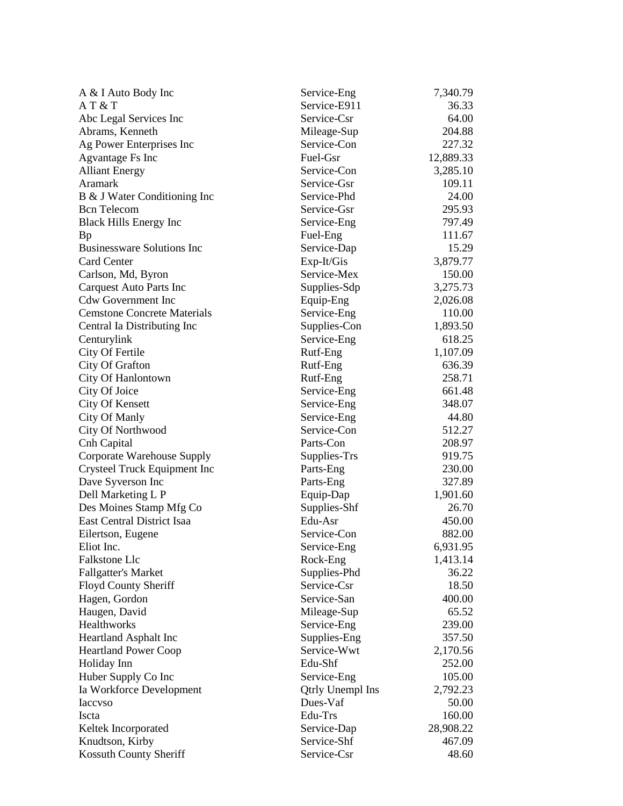| A & I Auto Body Inc                | Service-Eng      | 7,340.79  |
|------------------------------------|------------------|-----------|
| AT & T                             | Service-E911     | 36.33     |
| Abc Legal Services Inc             | Service-Csr      | 64.00     |
| Abrams, Kenneth                    | Mileage-Sup      | 204.88    |
| Ag Power Enterprises Inc           | Service-Con      | 227.32    |
| <b>Agvantage Fs Inc</b>            | Fuel-Gsr         | 12,889.33 |
| <b>Alliant Energy</b>              | Service-Con      | 3,285.10  |
| Aramark                            | Service-Gsr      | 109.11    |
| B & J Water Conditioning Inc       | Service-Phd      | 24.00     |
| <b>Bcn</b> Telecom                 | Service-Gsr      | 295.93    |
| <b>Black Hills Energy Inc</b>      | Service-Eng      | 797.49    |
| <b>Bp</b>                          | Fuel-Eng         | 111.67    |
| <b>Businessware Solutions Inc</b>  | Service-Dap      | 15.29     |
| <b>Card Center</b>                 | Exp-It/Gis       | 3,879.77  |
| Carlson, Md, Byron                 | Service-Mex      | 150.00    |
| Carquest Auto Parts Inc            | Supplies-Sdp     | 3,275.73  |
| <b>Cdw Government Inc</b>          | Equip-Eng        | 2,026.08  |
| <b>Cemstone Concrete Materials</b> | Service-Eng      | 110.00    |
| Central Ia Distributing Inc        | Supplies-Con     | 1,893.50  |
| Centurylink                        | Service-Eng      | 618.25    |
| City Of Fertile                    | Rutf-Eng         | 1,107.09  |
| City Of Grafton                    | Rutf-Eng         | 636.39    |
| City Of Hanlontown                 | Rutf-Eng         | 258.71    |
| City Of Joice                      | Service-Eng      | 661.48    |
| City Of Kensett                    | Service-Eng      | 348.07    |
| <b>City Of Manly</b>               | Service-Eng      | 44.80     |
| City Of Northwood                  | Service-Con      | 512.27    |
| Cnh Capital                        | Parts-Con        | 208.97    |
| Corporate Warehouse Supply         | Supplies-Trs     | 919.75    |
| Crysteel Truck Equipment Inc       | Parts-Eng        | 230.00    |
| Dave Syverson Inc                  | Parts-Eng        | 327.89    |
| Dell Marketing L P                 | Equip-Dap        | 1,901.60  |
| Des Moines Stamp Mfg Co            | Supplies-Shf     | 26.70     |
| East Central District Isaa         | Edu-Asr          | 450.00    |
| Eilertson, Eugene                  | Service-Con      | 882.00    |
| Eliot Inc.                         | Service-Eng      | 6,931.95  |
| Falkstone Llc                      | Rock-Eng         | 1,413.14  |
| <b>Fallgatter's Market</b>         | Supplies-Phd     | 36.22     |
| <b>Floyd County Sheriff</b>        | Service-Csr      | 18.50     |
| Hagen, Gordon                      | Service-San      | 400.00    |
| Haugen, David                      | Mileage-Sup      | 65.52     |
| Healthworks                        | Service-Eng      | 239.00    |
| Heartland Asphalt Inc              | Supplies-Eng     | 357.50    |
| <b>Heartland Power Coop</b>        | Service-Wwt      | 2,170.56  |
| Holiday Inn                        | Edu-Shf          | 252.00    |
| Huber Supply Co Inc                | Service-Eng      | 105.00    |
| Ia Workforce Development           | Qtrly Unempl Ins | 2,792.23  |
| <b>Iaccyso</b>                     | Dues-Vaf         | 50.00     |
| Iscta                              | Edu-Trs          | 160.00    |
| Keltek Incorporated                | Service-Dap      | 28,908.22 |
| Knudtson, Kirby                    | Service-Shf      | 467.09    |
| Kossuth County Sheriff             | Service-Csr      | 48.60     |
|                                    |                  |           |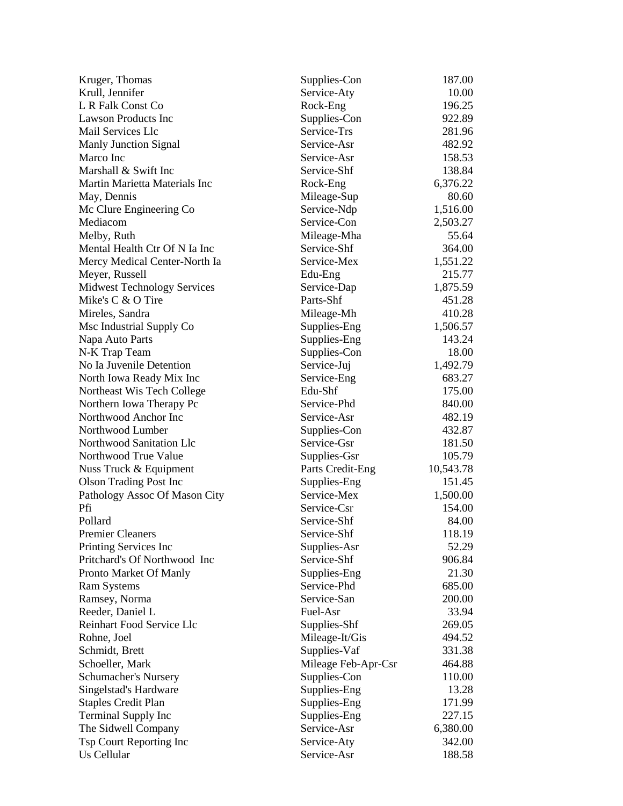| Kruger, Thomas                     | Supplies-Con        | 187.00           |
|------------------------------------|---------------------|------------------|
| Krull, Jennifer                    | Service-Aty         | 10.00            |
| L R Falk Const Co                  | Rock-Eng            | 196.25           |
| <b>Lawson Products Inc</b>         | Supplies-Con        | 922.89           |
| Mail Services Llc                  | Service-Trs         | 281.96           |
| Manly Junction Signal              | Service-Asr         | 482.92           |
| Marco Inc                          | Service-Asr         | 158.53           |
| Marshall & Swift Inc               | Service-Shf         | 138.84           |
| Martin Marietta Materials Inc      | Rock-Eng            | 6,376.22         |
| May, Dennis                        | Mileage-Sup         | 80.60            |
| Mc Clure Engineering Co            | Service-Ndp         | 1,516.00         |
| Mediacom                           | Service-Con         | 2,503.27         |
| Melby, Ruth                        | Mileage-Mha         | 55.64            |
| Mental Health Ctr Of N Ia Inc      | Service-Shf         | 364.00           |
| Mercy Medical Center-North Ia      | Service-Mex         | 1,551.22         |
| Meyer, Russell                     | Edu-Eng             | 215.77           |
| <b>Midwest Technology Services</b> | Service-Dap         | 1,875.59         |
| Mike's C & O Tire                  | Parts-Shf           | 451.28           |
| Mireles, Sandra                    | Mileage-Mh          | 410.28           |
| Msc Industrial Supply Co           | Supplies-Eng        | 1,506.57         |
| Napa Auto Parts                    | Supplies-Eng        | 143.24           |
| N-K Trap Team                      | Supplies-Con        | 18.00            |
| No Ia Juvenile Detention           | Service-Juj         | 1,492.79         |
| North Iowa Ready Mix Inc           | Service-Eng         | 683.27           |
| Northeast Wis Tech College         | Edu-Shf             | 175.00           |
| Northern Iowa Therapy Pc           | Service-Phd         | 840.00           |
| Northwood Anchor Inc               | Service-Asr         | 482.19           |
| Northwood Lumber                   | Supplies-Con        | 432.87           |
| Northwood Sanitation Llc           | Service-Gsr         | 181.50           |
| Northwood True Value               | Supplies-Gsr        | 105.79           |
| Nuss Truck & Equipment             | Parts Credit-Eng    | 10,543.78        |
| <b>Olson Trading Post Inc</b>      | Supplies-Eng        | 151.45           |
| Pathology Assoc Of Mason City      | Service-Mex         | 1,500.00         |
| Pfi                                | Service-Csr         | 154.00           |
| Pollard                            | Service-Shf         | 84.00            |
| <b>Premier Cleaners</b>            | Service-Shf         | 118.19           |
| Printing Services Inc              | Supplies-Asr        | 52.29            |
| Pritchard's Of Northwood Inc       | Service-Shf         | 906.84           |
| Pronto Market Of Manly             | Supplies-Eng        | 21.30            |
| <b>Ram Systems</b>                 | Service-Phd         | 685.00           |
| Ramsey, Norma                      | Service-San         | 200.00           |
| Reeder, Daniel L                   | Fuel-Asr            | 33.94            |
| Reinhart Food Service Llc          | Supplies-Shf        | 269.05           |
| Rohne, Joel                        | Mileage-It/Gis      | 494.52           |
|                                    |                     |                  |
| Schmidt, Brett<br>Schoeller, Mark  | Supplies-Vaf        | 331.38<br>464.88 |
|                                    | Mileage Feb-Apr-Csr |                  |
| Schumacher's Nursery               | Supplies-Con        | 110.00           |
| Singelstad's Hardware              | Supplies-Eng        | 13.28            |
| <b>Staples Credit Plan</b>         | Supplies-Eng        | 171.99           |
| <b>Terminal Supply Inc</b>         | Supplies-Eng        | 227.15           |
| The Sidwell Company                | Service-Asr         | 6,380.00         |
| Tsp Court Reporting Inc            | Service-Aty         | 342.00           |
| Us Cellular                        | Service-Asr         | 188.58           |